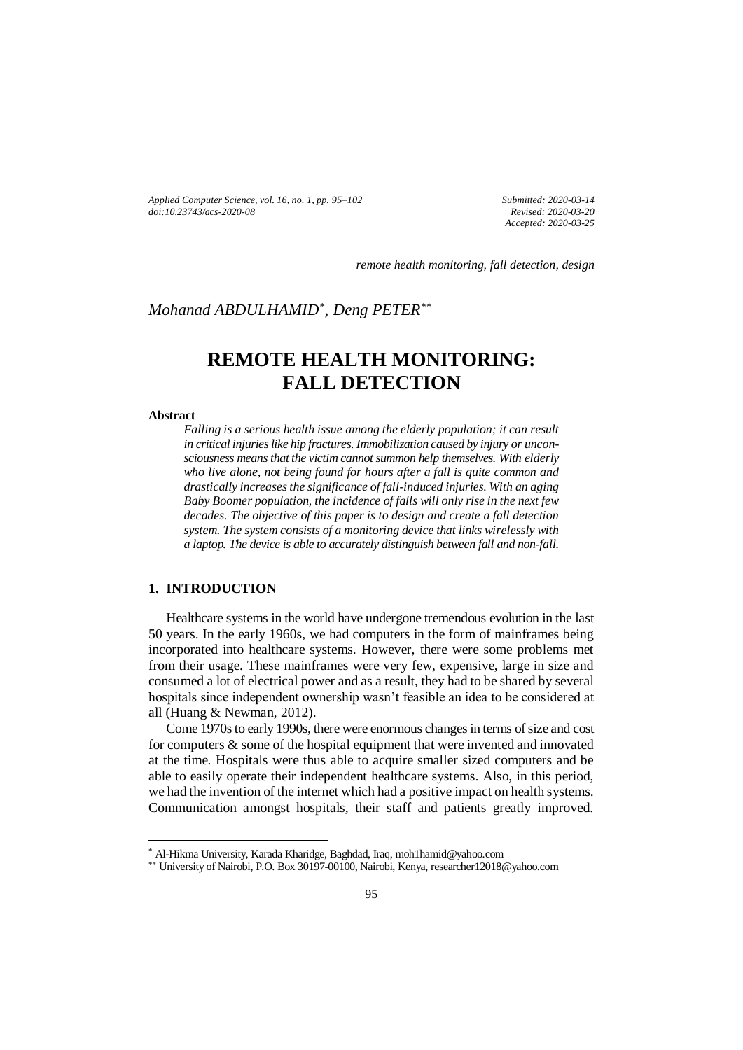*Applied Computer Science, vol. 16, no. 1, pp. 95–102 doi[:10.23743/acs-2020-08](http://acs.pollub.pl/pdf/v16n1/8.pdf)*

*Submitted: 2020-03-14 Revised: 2020-03-20 Accepted: 2020-03-25*

*remote health monitoring, fall detection, design*

# *Mohanad ABDULHAMID\* , Deng PETER\*\**

# **REMOTE HEALTH MONITORING: FALL DETECTION**

#### **Abstract**

 $\overline{a}$ 

*Falling is a serious health issue among the elderly population; it can result*  in critical injuries like hip fractures. Immobilization caused by injury or *unconsciousness means that the victim cannot summon help themselves. With elderly who live alone, not being found for hours after a fall is quite common and drastically increases the significance of fall-induced injuries. With an aging Baby Boomer population, the incidence of falls will only rise in the next few decades. The objective of this paper is to design and create a fall detection system. The system consists of a monitoring device that links wirelessly with a laptop. The device is able to accurately distinguish between fall and non-fall.*

### **1. INTRODUCTION**

Healthcare systems in the world have undergone tremendous evolution in the last 50 years. In the early 1960s, we had computers in the form of mainframes being incorporated into healthcare systems. However, there were some problems met from their usage. These mainframes were very few, expensive, large in size and consumed a lot of electrical power and as a result, they had to be shared by several hospitals since independent ownership wasn't feasible an idea to be considered at all (Huang & Newman, 2012).

Come 1970s to early 1990s, there were enormous changes in terms of size and cost for computers  $\&$  some of the hospital equipment that were invented and innovated at the time. Hospitals were thus able to acquire smaller sized computers and be able to easily operate their independent healthcare systems. Also, in this period, we had the invention of the internet which had a positive impact on health systems. Communication amongst hospitals, their staff and patients greatly improved.

<sup>\*</sup> Al-Hikma University, Karada Kharidge, Baghdad, Iraq, moh1hamid@yahoo.com

<sup>\*\*</sup> University of Nairobi, P.O. Box 30197-00100, Nairobi, Kenya, researcher12018@yahoo.com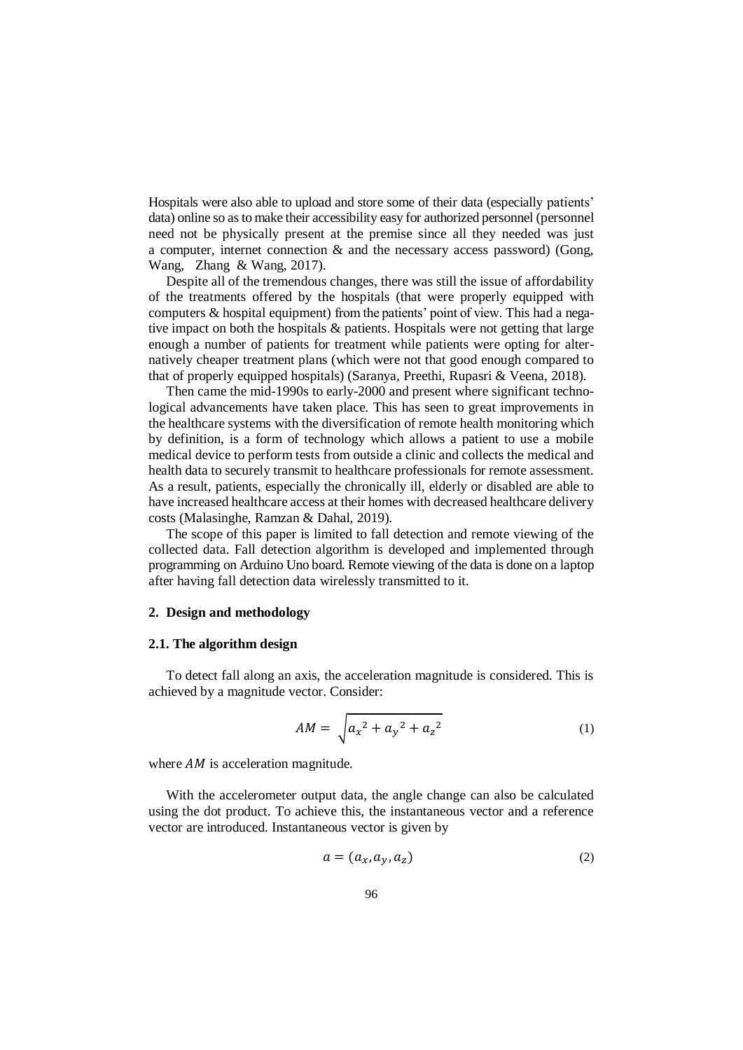Hospitals were also able to upload and store some of their data (especially patients' data) online so as to make their accessibility easy for authorized personnel (personnel need not be physically present at the premise since all they needed was just a computer, internet connection & and the necessary access password) (Gong, Wang, Zhang & Wang, 2017).

Despite all of the tremendous changes, there was still the issue of affordability of the treatments offered by the hospitals (that were properly equipped with computers & hospital equipment) from the patients' point of view. This had a negative impact on both the hospitals & patients. Hospitals were not getting that large enough a number of patients for treatment while patients were opting for alternatively cheaper treatment plans (which were not that good enough compared to that of properly equipped hospitals) (Saranya, Preethi, Rupasri & Veena, 2018).

Then came the mid-1990s to early-2000 and present where significant technological advancements have taken place. This has seen to great improvements in the healthcare systems with the diversification of remote health monitoring which by definition, is a form of technology which allows a patient to use a mobile medical device to perform tests from outside a clinic and collects the medical and health data to securely transmit to healthcare professionals for remote assessment. As a result, patients, especially the chronically ill, elderly or disabled are able to have increased healthcare access at their homes with decreased healthcare delivery costs (Malasinghe, Ramzan & Dahal, 2019).

The scope of this paper is limited to fall detection and remote viewing of the collected data. Fall detection algorithm is developed and implemented through programming on Arduino Uno board. Remote viewing of the data is done on a laptop after having fall detection data wirelessly transmitted to it.

#### **2. Design and methodology**

#### **2.1. The algorithm design**

To detect fall along an axis, the acceleration magnitude is considered. This is achieved by a magnitude vector. Consider:

$$
AM = \sqrt{a_x^2 + a_y^2 + a_z^2}
$$
 (1)

where  $AM$  is acceleration magnitude.

With the accelerometer output data, the angle change can also be calculated using the dot product. To achieve this, the instantaneous vector and a reference vector are introduced. Instantaneous vector is given by

$$
a = (a_x, a_y, a_z) \tag{2}
$$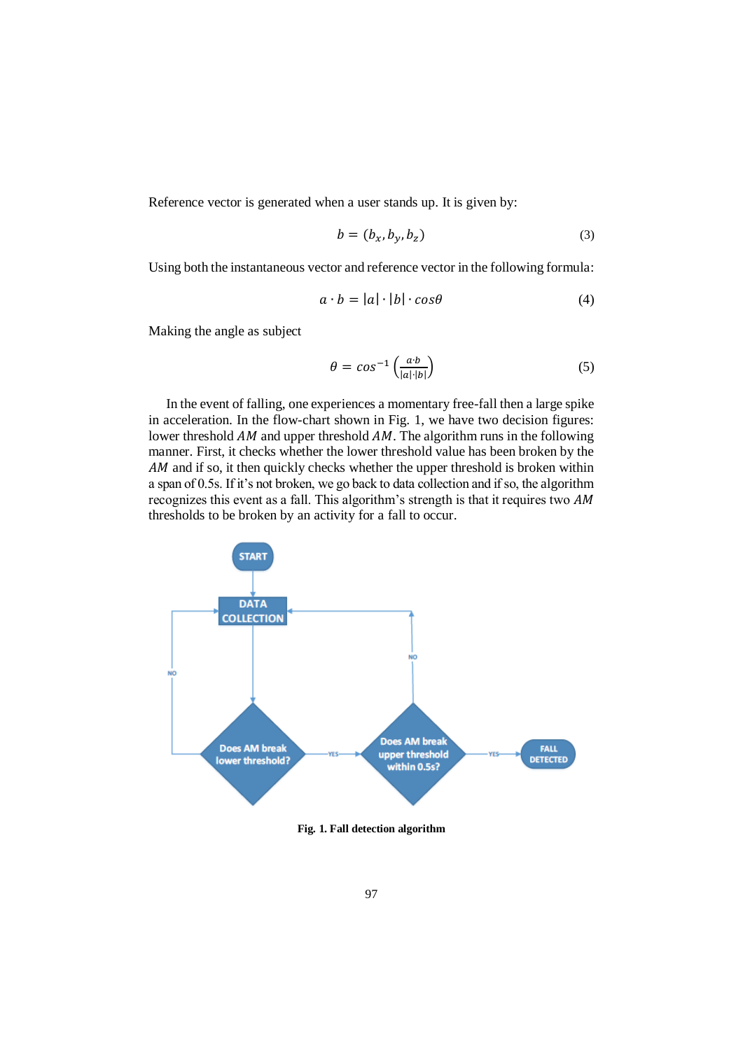Reference vector is generated when a user stands up. It is given by:

$$
b = (b_x, b_y, b_z) \tag{3}
$$

Using both the instantaneous vector and reference vector in the following formula:

$$
a \cdot b = |a| \cdot |b| \cdot \cos \theta \tag{4}
$$

Making the angle as subject

$$
\theta = \cos^{-1}\left(\frac{a \cdot b}{|a| \cdot |b|}\right) \tag{5}
$$

In the event of falling, one experiences a momentary free-fall then a large spike in acceleration. In the flow-chart shown in Fig. 1, we have two decision figures: lower threshold  $AM$  and upper threshold  $AM$ . The algorithm runs in the following manner. First, it checks whether the lower threshold value has been broken by the AM and if so, it then quickly checks whether the upper threshold is broken within a span of 0.5s. If it's not broken, we go back to data collection and if so, the algorithm recognizes this event as a fall. This algorithm's strength is that it requires two AM thresholds to be broken by an activity for a fall to occur.



**Fig. 1. Fall detection algorithm**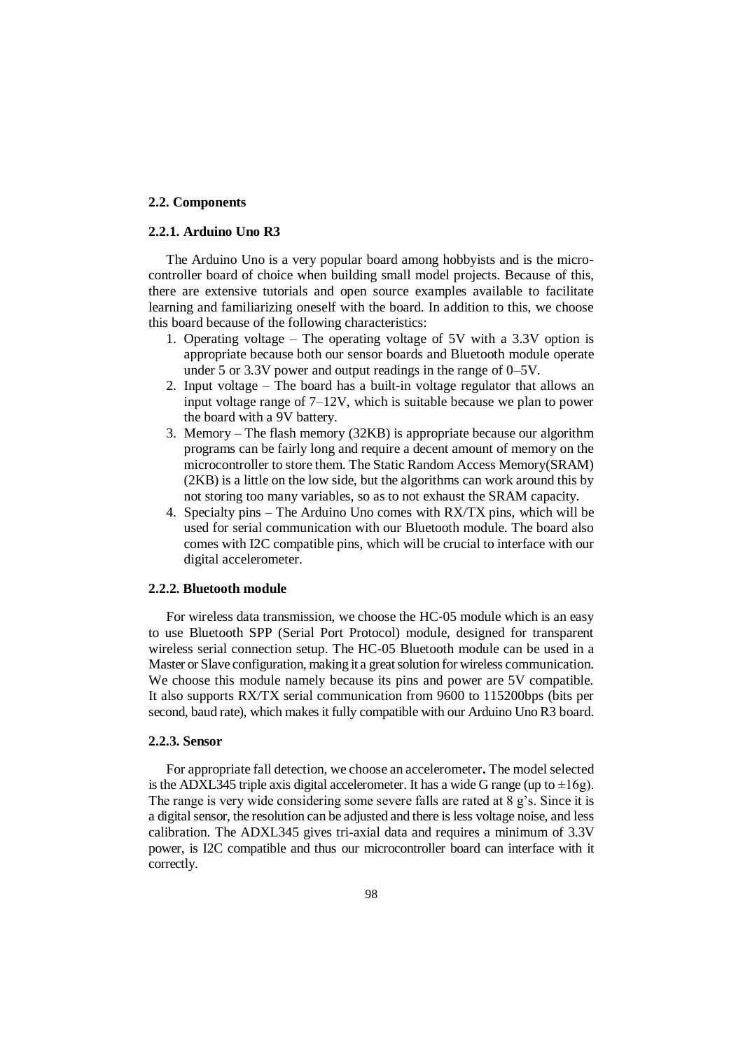#### **2.2. Components**

#### **2.2.1. Arduino Uno R3**

The Arduino Uno is a very popular board among hobbyists and is the microcontroller board of choice when building small model projects. Because of this, there are extensive tutorials and open source examples available to facilitate learning and familiarizing oneself with the board. In addition to this, we choose this board because of the following characteristics:

- 1. Operating voltage The operating voltage of 5V with a 3.3V option is appropriate because both our sensor boards and Bluetooth module operate under 5 or 3.3V power and output readings in the range of 0–5V.
- 2. Input voltage The board has a built-in voltage regulator that allows an input voltage range of 7–12V, which is suitable because we plan to power the board with a 9V battery.
- 3. Memory The flash memory (32KB) is appropriate because our algorithm programs can be fairly long and require a decent amount of memory on the microcontroller to store them. The Static Random Access Memory(SRAM) (2KB) is a little on the low side, but the algorithms can work around this by not storing too many variables, so as to not exhaust the SRAM capacity.
- 4. Specialty pins The Arduino Uno comes with RX/TX pins, which will be used for serial communication with our Bluetooth module. The board also comes with I2C compatible pins, which will be crucial to interface with our digital accelerometer.

#### **2.2.2. Bluetooth module**

For wireless data transmission, we choose the HC‐05 module which is an easy to use Bluetooth SPP (Serial Port Protocol) module, designed for transparent wireless serial connection setup. The HC-05 Bluetooth module can be used in a Master or Slave configuration, making it a great solution for wireless communication. We choose this module namely because its pins and power are 5V compatible. It also supports RX/TX serial communication from 9600 to 115200bps (bits per second, baud rate), which makes it fully compatible with our Arduino Uno R3 board.

#### **2.2.3. Sensor**

For appropriate fall detection, we choose an accelerometer**.** The model selected is the ADXL345 triple axis digital accelerometer. It has a wide G range (up to  $\pm 16g$ ). The range is very wide considering some severe falls are rated at 8 g's. Since it is a digital sensor, the resolution can be adjusted and there is less voltage noise, and less calibration. The ADXL345 gives tri-axial data and requires a minimum of 3.3V power, is I2C compatible and thus our microcontroller board can interface with it correctly.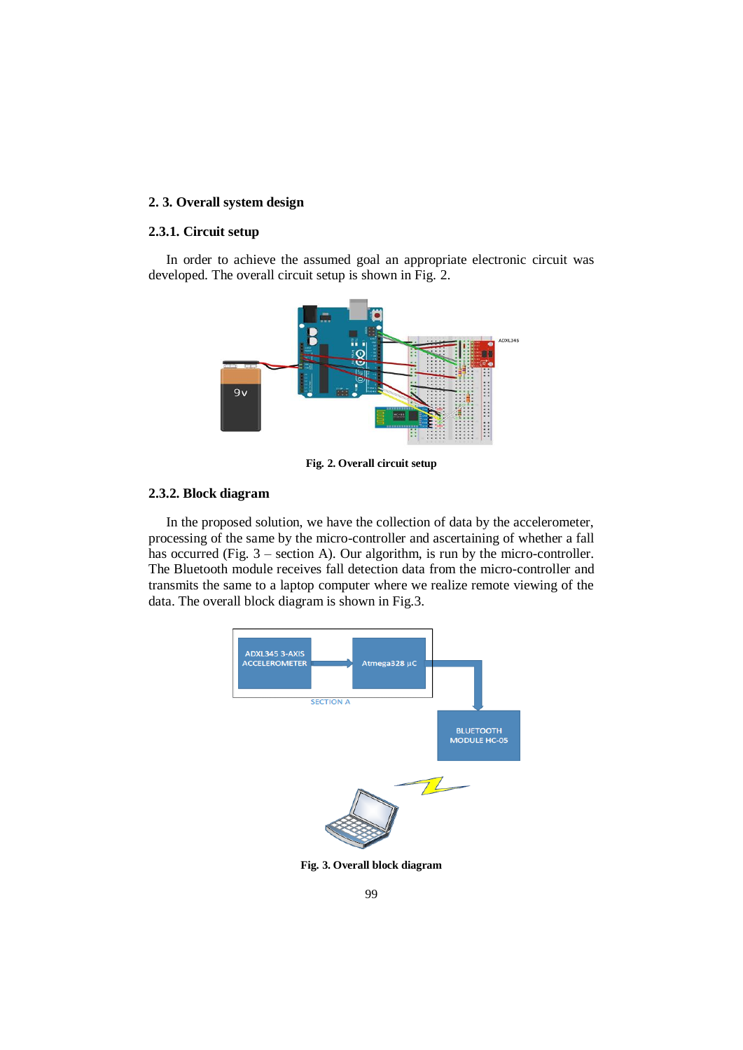## **2. 3. Overall system design**

#### **2.3.1. Circuit setup**

In order to achieve the assumed goal an appropriate electronic circuit was developed. The overall circuit setup is shown in Fig. 2.



**Fig. 2. Overall circuit setup**

#### **2.3.2. Block diagram**

In the proposed solution, we have the collection of data by the accelerometer, processing of the same by the micro-controller and ascertaining of whether a fall has occurred (Fig. 3 – section A). Our algorithm, is run by the micro-controller. The Bluetooth module receives fall detection data from the micro-controller and transmits the same to a laptop computer where we realize remote viewing of the data. The overall block diagram is shown in Fig.3.



**Fig. 3. Overall block diagram**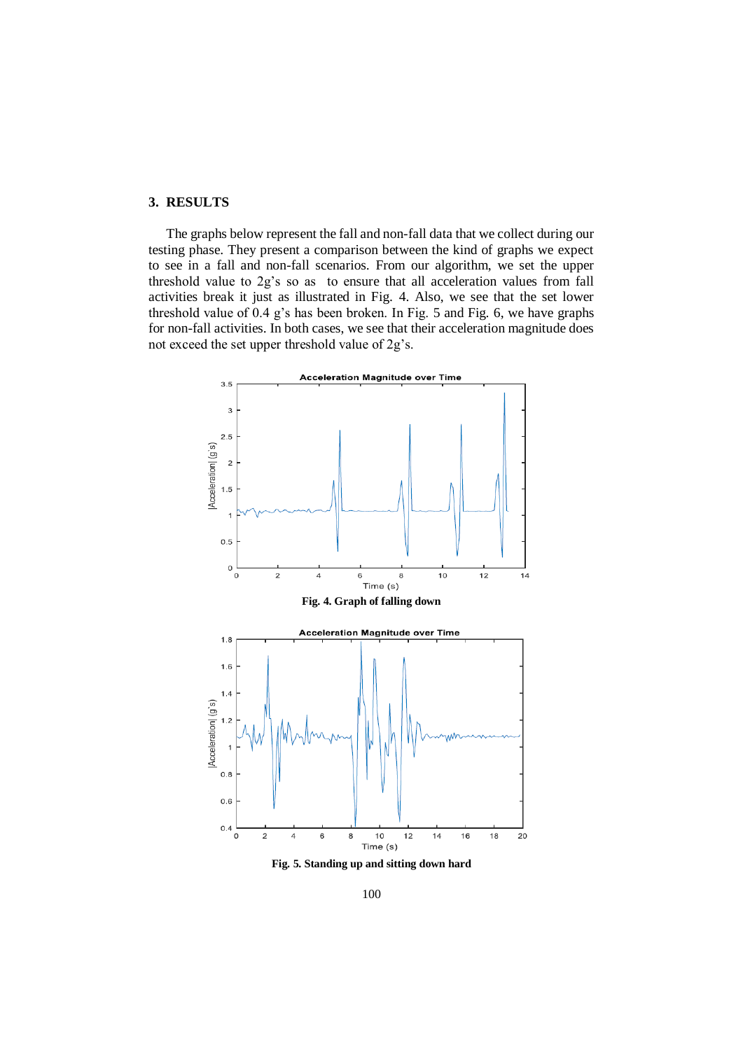### **3. RESULTS**

The graphs below represent the fall and non-fall data that we collect during our testing phase. They present a comparison between the kind of graphs we expect to see in a fall and non-fall scenarios. From our algorithm, we set the upper threshold value to 2g's so as to ensure that all acceleration values from fall activities break it just as illustrated in Fig. 4. Also, we see that the set lower threshold value of 0.4 g's has been broken. In Fig. 5 and Fig. 6, we have graphs for non-fall activities. In both cases, we see that their acceleration magnitude does not exceed the set upper threshold value of 2g's.



**Fig. 5. Standing up and sitting down hard**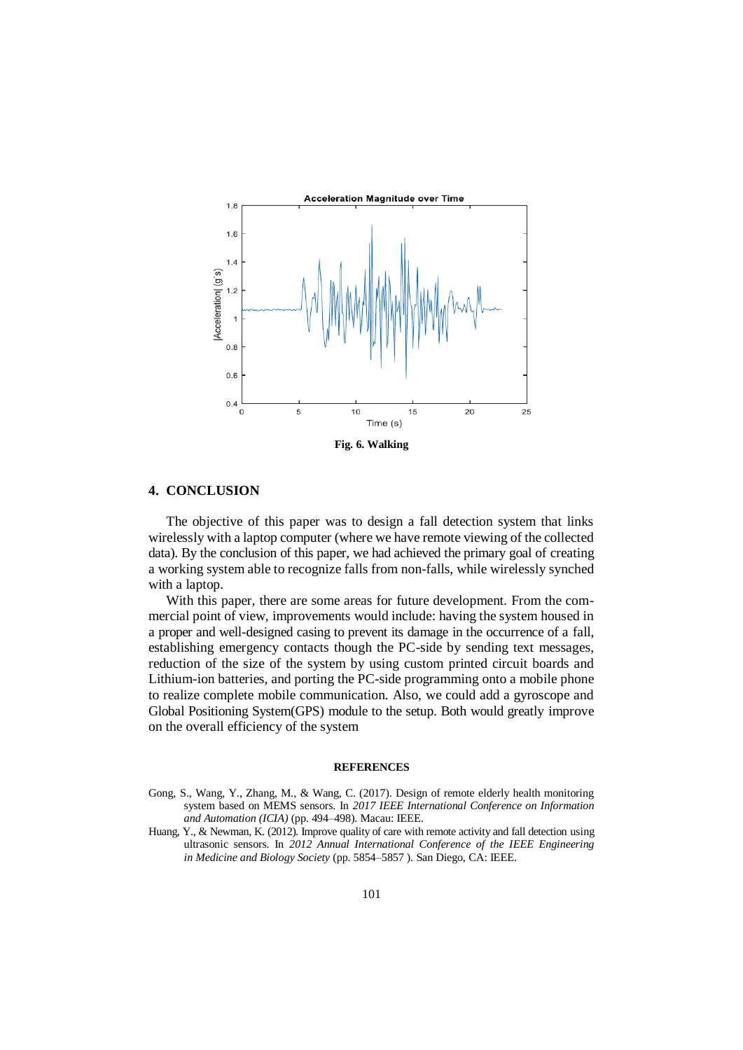

#### **4. CONCLUSION**

The objective of this paper was to design a fall detection system that links wirelessly with a laptop computer (where we have remote viewing of the collected data). By the conclusion of this paper, we had achieved the primary goal of creating a working system able to recognize falls from non-falls, while wirelessly synched with a laptop.

With this paper, there are some areas for future development. From the commercial point of view, improvements would include: having the system housed in a proper and well-designed casing to prevent its damage in the occurrence of a fall, establishing emergency contacts though the PC-side by sending text messages, reduction of the size of the system by using custom printed circuit boards and Lithium-ion batteries, and porting the PC-side programming onto a mobile phone to realize complete mobile communication. Also, we could add a gyroscope and Global Positioning System(GPS) module to the setup. Both would greatly improve on the overall efficiency of the system

#### **REFERENCES**

- Gong, S., Wang, Y., Zhang, M., & Wang, C. (2017). Design of remote elderly health monitoring system based on MEMS sensors. In *2017 IEEE International Conference on Information and Automation (ICIA)* (pp. 494–498). Macau: IEEE.
- Huang, Y., & Newman, K. (2012). Improve quality of care with remote activity and fall detection using ultrasonic sensors. In *2012 Annual International Conference of the IEEE Engineering in Medicine and Biology Society* (pp. 5854–5857 ). San Diego, CA: IEEE.